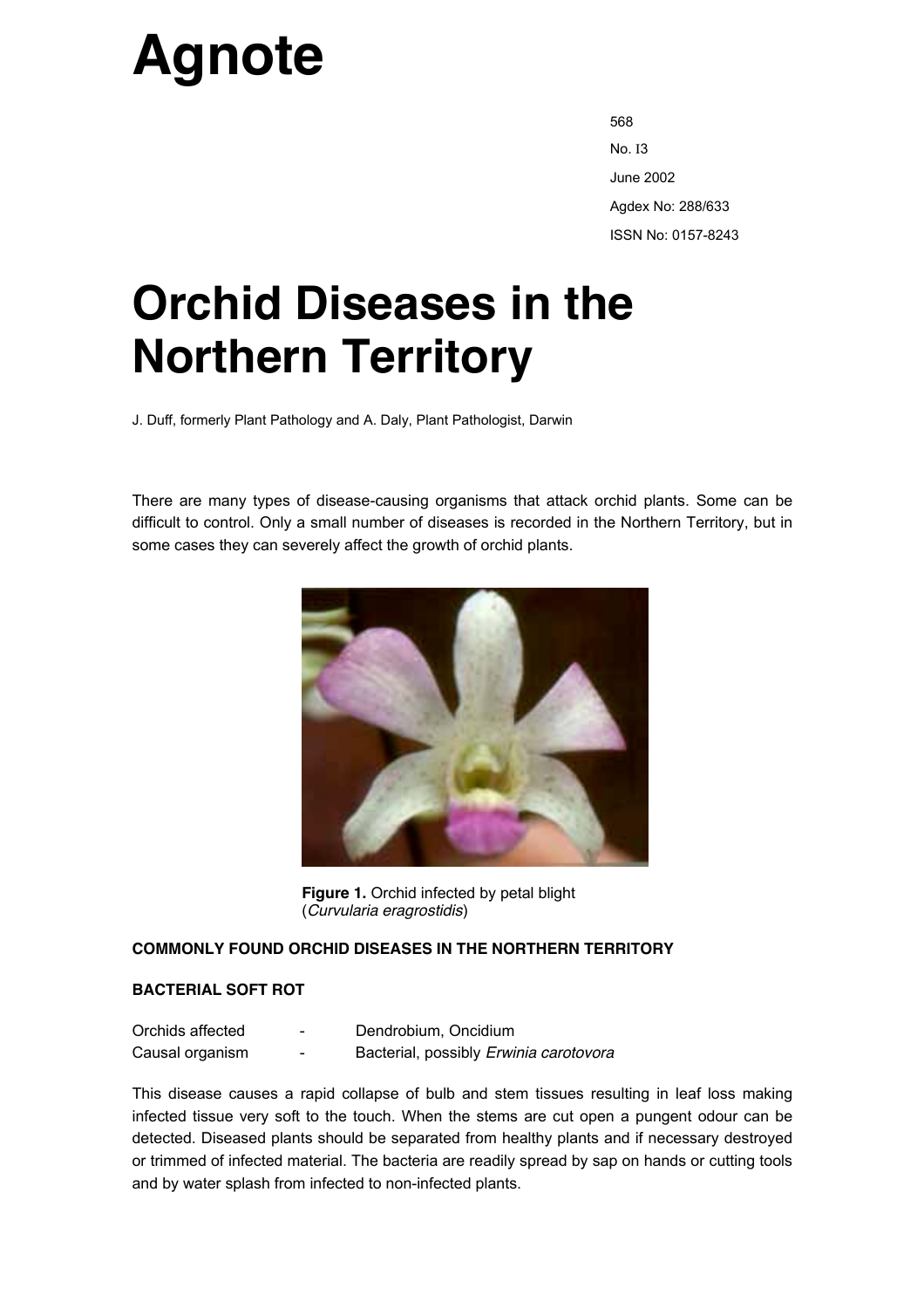# **Agnote**

568 No. I3 June 2002 Agdex No: 288/633 ISSN No: 0157-8243

# **Orchid Diseases in the Northern Territory**

J. Duff, formerly Plant Pathology and A. Daly, Plant Pathologist, Darwin

There are many types of disease-causing organisms that attack orchid plants. Some can be difficult to control. Only a small number of diseases is recorded in the Northern Territory, but in some cases they can severely affect the growth of orchid plants.



**Figure 1.** Orchid infected by petal blight (*Curvularia eragrostidis*)

### **COMMONLY FOUND ORCHID DISEASES IN THE NORTHERN TERRITORY**

#### **BACTERIAL SOFT ROT**

| Orchids affected | - | Dendrobium, Oncidium                   |
|------------------|---|----------------------------------------|
| Causal organism  | - | Bacterial, possibly Erwinia carotovora |

This disease causes a rapid collapse of bulb and stem tissues resulting in leaf loss making infected tissue very soft to the touch. When the stems are cut open a pungent odour can be detected. Diseased plants should be separated from healthy plants and if necessary destroyed or trimmed of infected material. The bacteria are readily spread by sap on hands or cutting tools and by water splash from infected to non-infected plants.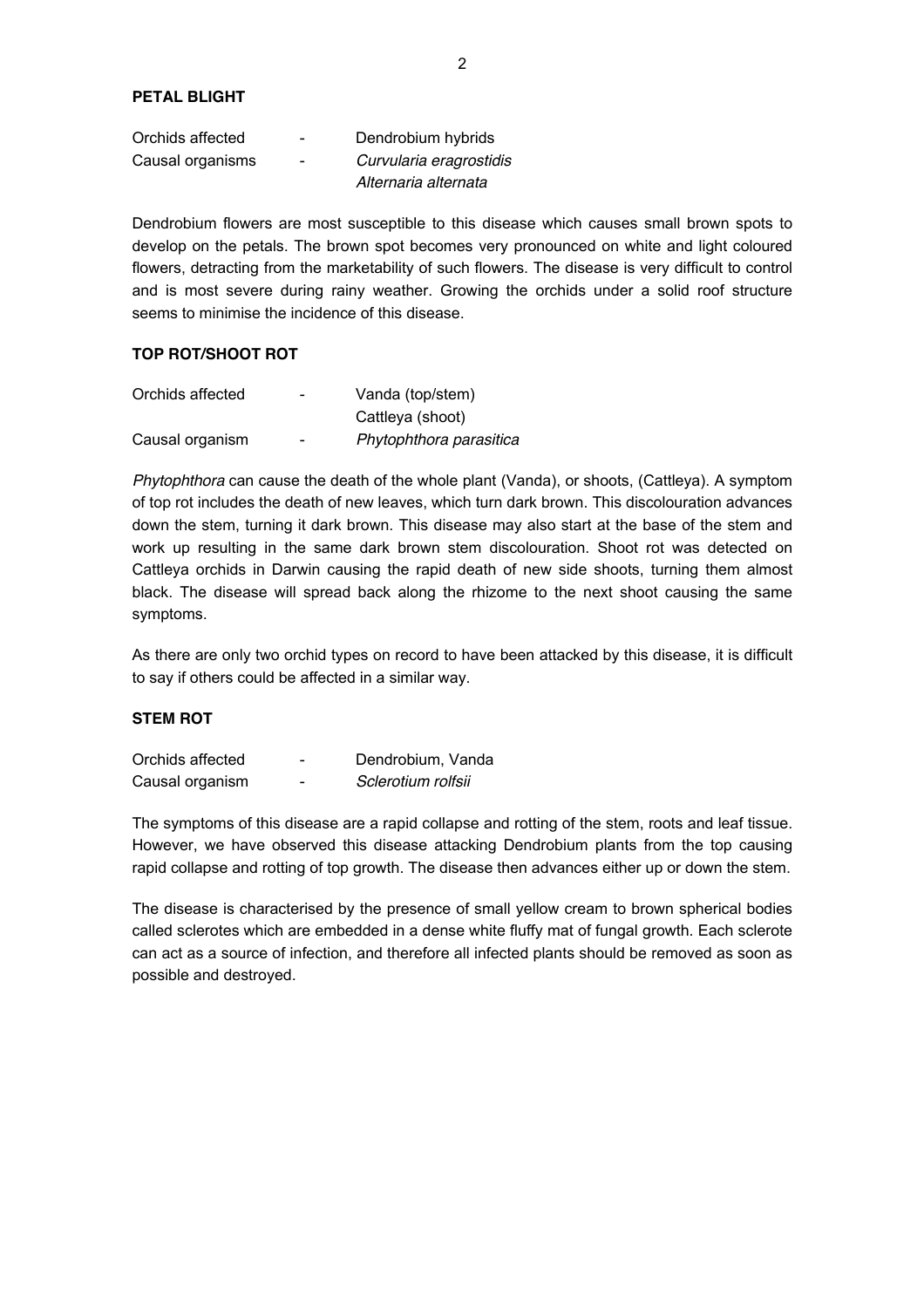| Orchids affected | $\sim$ | Dendrobium hybrids      |
|------------------|--------|-------------------------|
| Causal organisms | $\sim$ | Curvularia eragrostidis |
|                  |        | Alternaria alternata    |

Dendrobium flowers are most susceptible to this disease which causes small brown spots to develop on the petals. The brown spot becomes very pronounced on white and light coloured flowers, detracting from the marketability of such flowers. The disease is very difficult to control and is most severe during rainy weather. Growing the orchids under a solid roof structure seems to minimise the incidence of this disease.

#### **TOP ROT/SHOOT ROT**

| Orchids affected | $\overline{\phantom{0}}$ | Vanda (top/stem)        |
|------------------|--------------------------|-------------------------|
|                  |                          | Cattleya (shoot)        |
| Causal organism  | $\overline{\phantom{0}}$ | Phytophthora parasitica |

*Phytophthora* can cause the death of the whole plant (Vanda), or shoots, (Cattleya). A symptom of top rot includes the death of new leaves, which turn dark brown. This discolouration advances down the stem, turning it dark brown. This disease may also start at the base of the stem and work up resulting in the same dark brown stem discolouration. Shoot rot was detected on Cattleya orchids in Darwin causing the rapid death of new side shoots, turning them almost black. The disease will spread back along the rhizome to the next shoot causing the same symptoms.

As there are only two orchid types on record to have been attacked by this disease, it is difficult to say if others could be affected in a similar way.

#### **STEM ROT**

| Orchids affected | -                        | Dendrobium, Vanda  |
|------------------|--------------------------|--------------------|
| Causal organism  | $\overline{\phantom{0}}$ | Sclerotium rolfsii |

The symptoms of this disease are a rapid collapse and rotting of the stem, roots and leaf tissue. However, we have observed this disease attacking Dendrobium plants from the top causing rapid collapse and rotting of top growth. The disease then advances either up or down the stem.

The disease is characterised by the presence of small yellow cream to brown spherical bodies called sclerotes which are embedded in a dense white fluffy mat of fungal growth. Each sclerote can act as a source of infection, and therefore all infected plants should be removed as soon as possible and destroyed.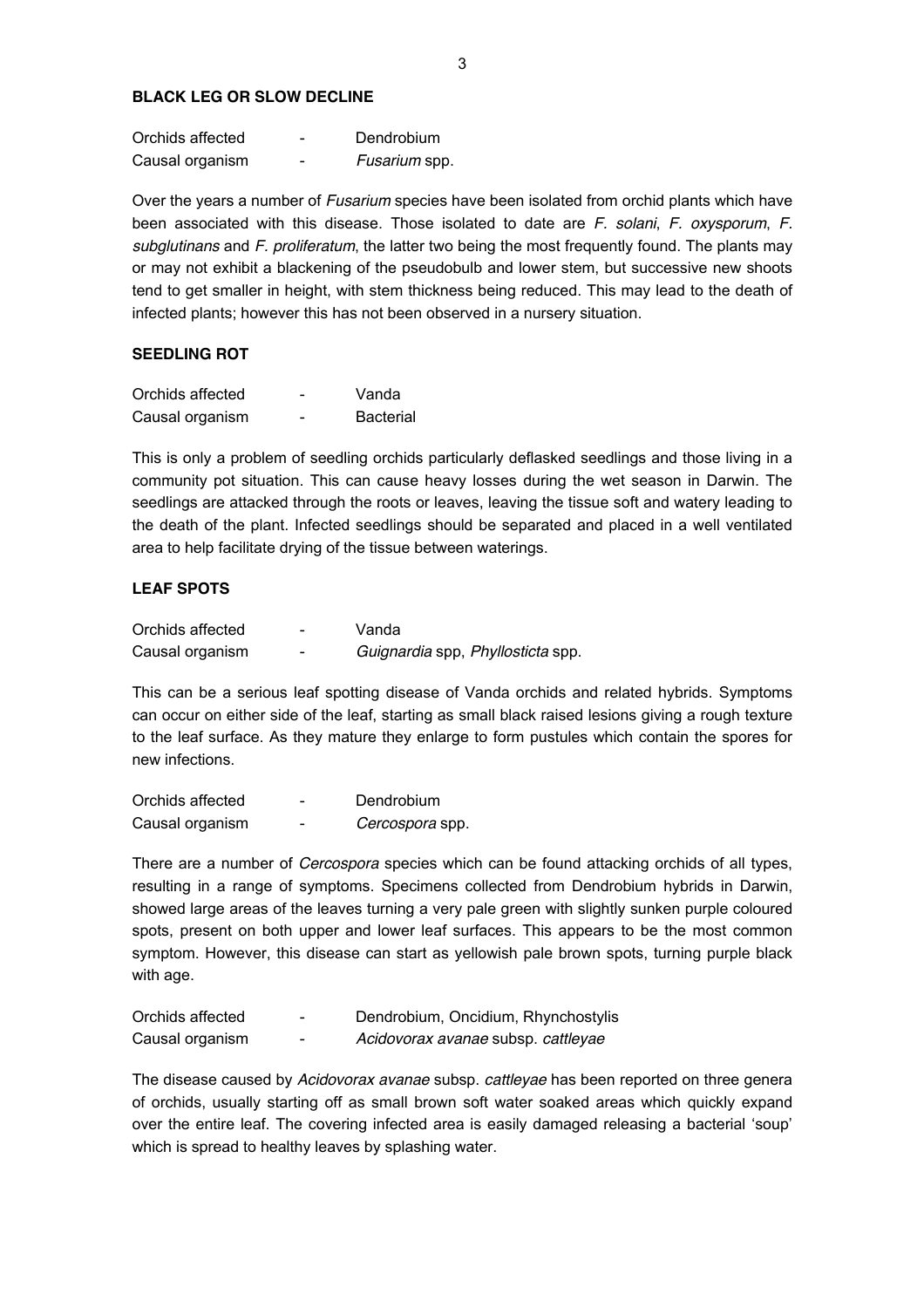#### **BLACK LEG OR SLOW DECLINE**

| Orchids affected | - | Dendrobium    |
|------------------|---|---------------|
| Causal organism  | - | Fusarium spp. |

Over the years a number of *Fusarium* species have been isolated from orchid plants which have been associated with this disease. Those isolated to date are *F. solani*, *F. oxysporum*, *F. subglutinans* and *F. proliferatum*, the latter two being the most frequently found. The plants may or may not exhibit a blackening of the pseudobulb and lower stem, but successive new shoots tend to get smaller in height, with stem thickness being reduced. This may lead to the death of infected plants; however this has not been observed in a nursery situation.

#### **SEEDLING ROT**

| Orchids affected | - | Vanda            |
|------------------|---|------------------|
| Causal organism  | - | <b>Bacterial</b> |

This is only a problem of seedling orchids particularly deflasked seedlings and those living in a community pot situation. This can cause heavy losses during the wet season in Darwin. The seedlings are attacked through the roots or leaves, leaving the tissue soft and watery leading to the death of the plant. Infected seedlings should be separated and placed in a well ventilated area to help facilitate drying of the tissue between waterings.

#### **LEAF SPOTS**

| Orchids affected | - | Vanda                             |
|------------------|---|-----------------------------------|
| Causal organism  | - | Guignardia spp, Phyllosticta spp. |

This can be a serious leaf spotting disease of Vanda orchids and related hybrids. Symptoms can occur on either side of the leaf, starting as small black raised lesions giving a rough texture to the leaf surface. As they mature they enlarge to form pustules which contain the spores for new infections.

| Orchids affected | - | Dendrobium      |
|------------------|---|-----------------|
| Causal organism  | - | Cercospora spp. |

There are a number of *Cercospora* species which can be found attacking orchids of all types, resulting in a range of symptoms. Specimens collected from Dendrobium hybrids in Darwin, showed large areas of the leaves turning a very pale green with slightly sunken purple coloured spots, present on both upper and lower leaf surfaces. This appears to be the most common symptom. However, this disease can start as yellowish pale brown spots, turning purple black with age.

| Orchids affected | - | Dendrobium, Oncidium, Rhynchostylis |
|------------------|---|-------------------------------------|
| Causal organism  | - | Acidovorax avanae subsp. cattleyae  |

The disease caused by *Acidovorax avanae* subsp. *cattleyae* has been reported on three genera of orchids, usually starting off as small brown soft water soaked areas which quickly expand over the entire leaf. The covering infected area is easily damaged releasing a bacterial 'soup' which is spread to healthy leaves by splashing water.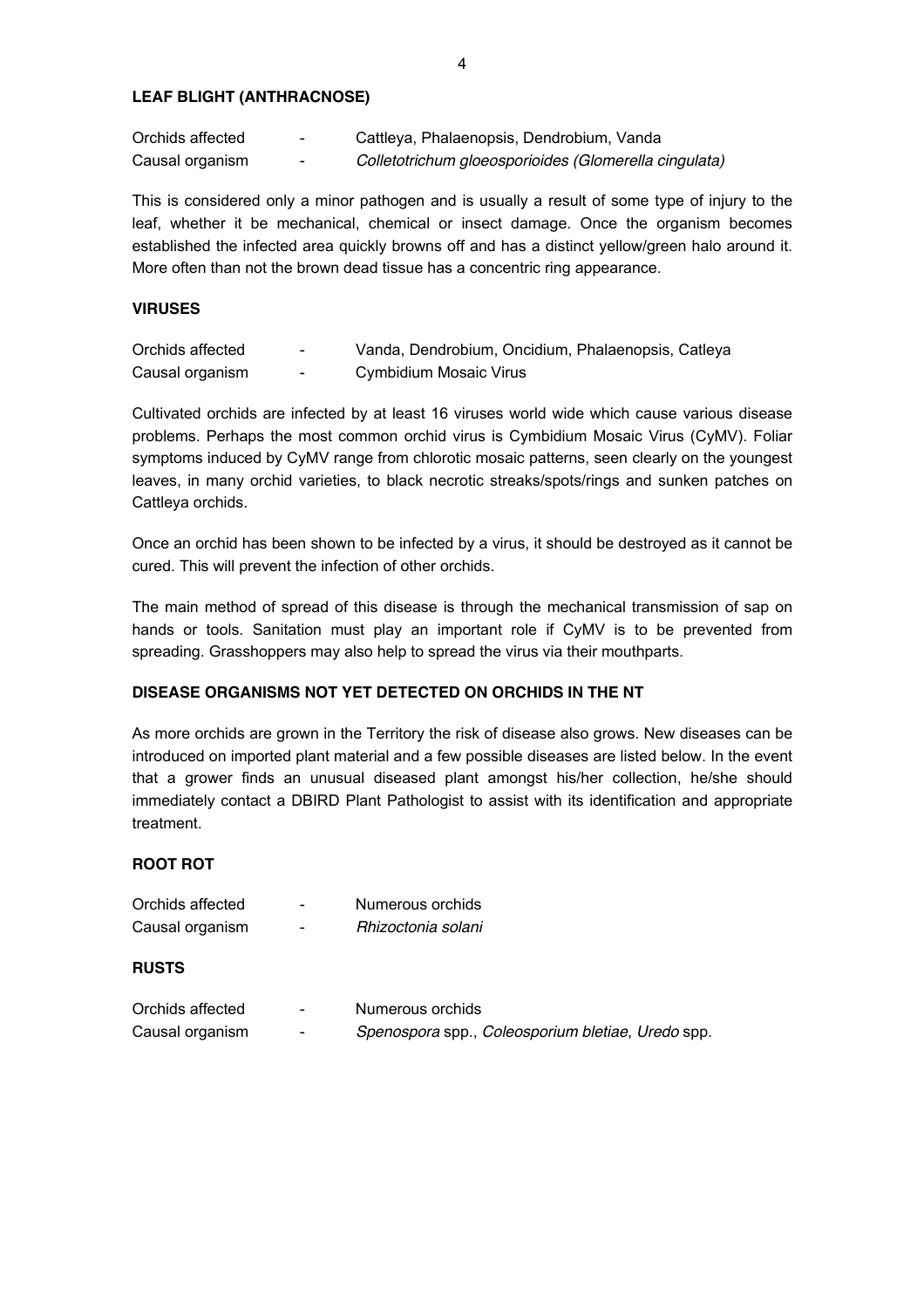#### **LEAF BLIGHT (ANTHRACNOSE)**

| Orchids affected | - | Cattleya, Phalaenopsis, Dendrobium, Vanda             |
|------------------|---|-------------------------------------------------------|
| Causal organism  | - | Colletotrichum gloeosporioides (Glomerella cingulata) |

This is considered only a minor pathogen and is usually a result of some type of injury to the leaf, whether it be mechanical, chemical or insect damage. Once the organism becomes established the infected area quickly browns off and has a distinct yellow/green halo around it. More often than not the brown dead tissue has a concentric ring appearance.

#### **VIRUSES**

| Orchids affected | $\sim$                   | Vanda, Dendrobium, Oncidium, Phalaenopsis, Catleya |
|------------------|--------------------------|----------------------------------------------------|
| Causal organism  | $\overline{\phantom{0}}$ | Cymbidium Mosaic Virus                             |

Cultivated orchids are infected by at least 16 viruses world wide which cause various disease problems. Perhaps the most common orchid virus is Cymbidium Mosaic Virus (CyMV). Foliar symptoms induced by CyMV range from chlorotic mosaic patterns, seen clearly on the youngest leaves, in many orchid varieties, to black necrotic streaks/spots/rings and sunken patches on Cattleya orchids.

Once an orchid has been shown to be infected by a virus, it should be destroyed as it cannot be cured. This will prevent the infection of other orchids.

The main method of spread of this disease is through the mechanical transmission of sap on hands or tools. Sanitation must play an important role if CyMV is to be prevented from spreading. Grasshoppers may also help to spread the virus via their mouthparts.

## **DISEASE ORGANISMS NOT YET DETECTED ON ORCHIDS IN THE NT**

As more orchids are grown in the Territory the risk of disease also grows. New diseases can be introduced on imported plant material and a few possible diseases are listed below. In the event that a grower finds an unusual diseased plant amongst his/her collection, he/she should immediately contact a DBIRD Plant Pathologist to assist with its identification and appropriate treatment.

#### **ROOT ROT**

| Orchids affected | -                        | Numerous orchids   |
|------------------|--------------------------|--------------------|
| Causal organism  | $\overline{\phantom{0}}$ | Rhizoctonia solani |
|                  |                          |                    |
| <b>RUSTS</b>     |                          |                    |
|                  |                          |                    |

| Orchids affected | - | Numerous orchids                                  |
|------------------|---|---------------------------------------------------|
| Causal organism  | - | Spenospora spp., Coleosporium bletiae, Uredo spp. |